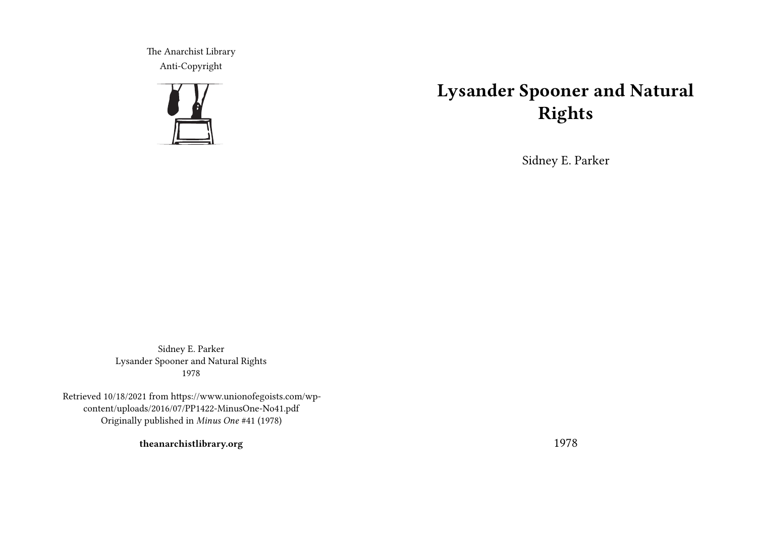The Anarchist Library Anti-Copyright



## **Lysander Spooner and Natural Rights**

Sidney E. Parker

Sidney E. Parker Lysander Spooner and Natural Rights 1978

Retrieved 10/18/2021 from https://www.unionofegoists.com/wpcontent/uploads/2016/07/PP1422-MinusOne-No41.pdf Originally published in *Minus One* #41 (1978)

**theanarchistlibrary.org**

1978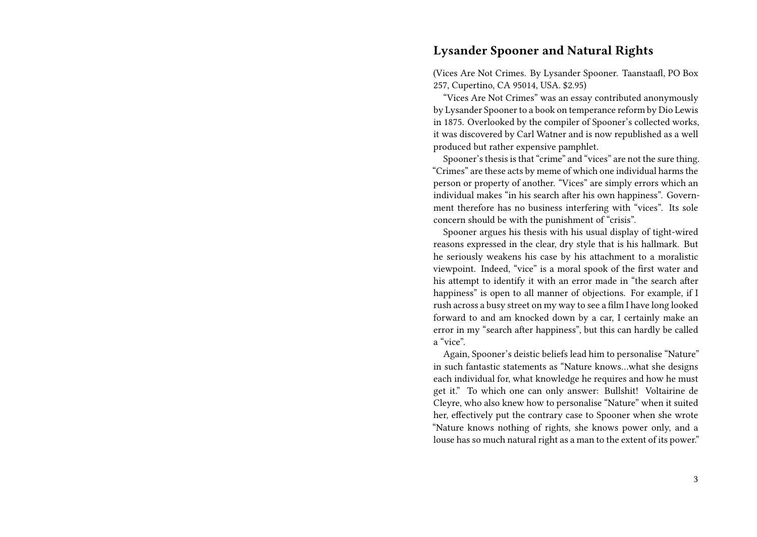## **Lysander Spooner and Natural Rights**

(Vices Are Not Crimes. By Lysander Spooner. Taanstaafl, PO Box 257, Cupertino, CA 95014, USA. \$2.95)

"Vices Are Not Crimes" was an essay contributed anonymously by Lysander Spooner to a book on temperance reform by Dio Lewis in 1875. Overlooked by the compiler of Spooner's collected works, it was discovered by Carl Watner and is now republished as a well produced but rather expensive pamphlet.

Spooner's thesis is that "crime" and "vices" are not the sure thing. "Crimes" are these acts by meme of which one individual harms the person or property of another. "Vices" are simply errors which an individual makes "in his search after his own happiness". Government therefore has no business interfering with "vices". Its sole concern should be with the punishment of "crisis".

Spooner argues his thesis with his usual display of tight-wired reasons expressed in the clear, dry style that is his hallmark. But he seriously weakens his case by his attachment to a moralistic viewpoint. Indeed, "vice" is a moral spook of the first water and his attempt to identify it with an error made in "the search after happiness" is open to all manner of objections. For example, if I rush across a busy street on my way to see a film I have long looked forward to and am knocked down by a car, I certainly make an error in my "search after happiness", but this can hardly be called a "vice".

Again, Spooner's deistic beliefs lead him to personalise "Nature" in such fantastic statements as "Nature knows…what she designs each individual for, what knowledge he requires and how he must get it." To which one can only answer: Bullshit! Voltairine de Cleyre, who also knew how to personalise "Nature" when it suited her, effectively put the contrary case to Spooner when she wrote "Nature knows nothing of rights, she knows power only, and a louse has so much natural right as a man to the extent of its power."